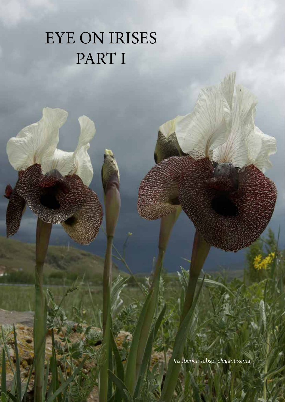## EYE ON IRISES PART I

*Iris iberica* subsp*. elegantissima*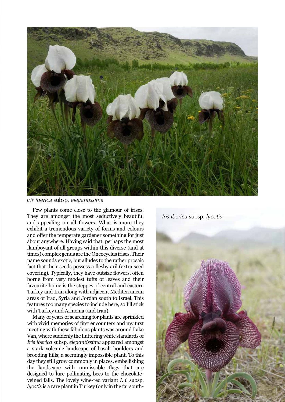

*Iris iberica* subsp*. elegantissima*

Few plants come close to the glamour of irises. They are amongst the most seductively beautiful and appealing on all flowers. What is more they exhibit a tremendous variety of forms and colours and offer the temperate gardener something for just about anywhere. Having said that, perhaps the most flamboyant of all groups within this diverse (and at times) complex genus are the Oncocyclus irises. Their name sounds exotic, but alludes to the rather prosaic fact that their seeds possess a fleshy aril (extra seed covering). Typically, they have outsize flowers, often borne from very modest tufts of leaves and their favourite home is the steppes of central and eastern Turkey and Iran along with adjacent Mediterranean areas of Iraq, Syria and Jordan south to Israel. This features too many species to include here, so I'll stick with Turkey and Armenia (and Iran).

Many of years of searching for plants are sprinkled with vivid memories of first encounters and my first meeting with these fabulous plants was around Lake Van, where suddenly the fluttering white standards of *Iris iberica* subsp. *elegantissima* appeared amongst a stark volcanic landscape of basalt boulders and brooding hills; a seemingly impossible plant. To this day they still grow commonly in places, embellishing the landscape with unmissable flags that are designed to lure pollinating bees to the chocolateveined falls. The lovely wine-red variant *I. i.* subsp. *lycotis* is a rare plant in Turkey (only in the far south-

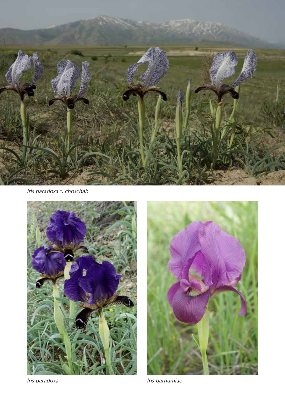

*Iris paradoxa* f. *choschab*





*Iris paradoxa Iris barnumiae*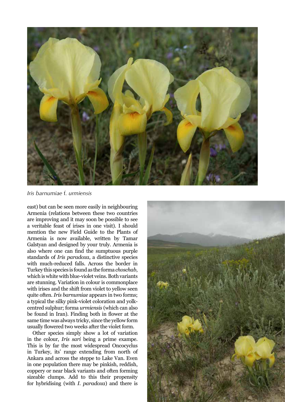

*Iris barnumiae* f*. urmiensis*

east) but can be seen more easily in neighbouring Armenia (relations between these two countries are improving and it may soon be possible to see a veritable feast of irises in one visit). I should mention the new Field Guide to the Plants of Armenia is now available, written by Tamar Galstyan and designed by your truly. Armenia is also where one can find the sumptuous purple standards of *Iris paradoxa*, a distinctive species with much-reduced falls. Across the border in Turkey this species is found as the forma *choschab*, which is white with blue-violet veins. Both variants are stunning. Variation in colour is commonplace with irises and the shift from violet to yellow seen quite often. *Iris barnumiae* appears in two forms; a typical the silky pink-violet coloration and yolkcentred sulphur; forma *urmiensis* (which can also be found in Iran). Finding both in flower at the same time was always tricky, since the yellow form usually flowered two weeks after the violet form.

Other species simply show a lot of variation in the colour, *Iris sari* being a prime exampe. This is by far the most widespread Oncocyclus in Turkey, its' range extending from north of Ankara and across the steppe to Lake Van. Even in one population there may be pinkish, reddish, coppery or near black variants and often forming sizeable clumps. Add to this their propensity for hybridising (with *I. paradoxa*) and there is

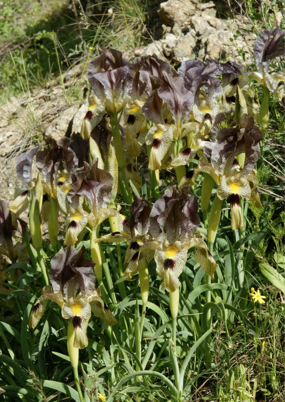